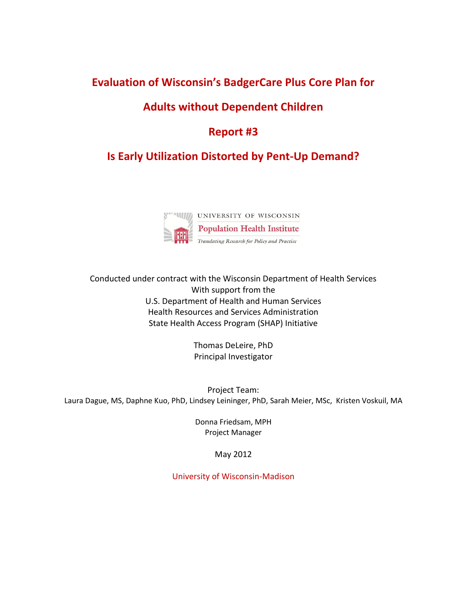## **Evaluation of Wisconsin's BadgerCare Plus Core Plan for**

### **Adults without Dependent Children**

### **Report #3**

# **Is Early Utilization Distorted by Pent-Up Demand?**



Conducted under contract with the Wisconsin Department of Health Services With support from the U.S. Department of Health and Human Services Health Resources and Services Administration State Health Access Program (SHAP) Initiative

> Thomas DeLeire, PhD Principal Investigator

Project Team: Laura Dague, MS, Daphne Kuo, PhD, Lindsey Leininger, PhD, Sarah Meier, MSc, Kristen Voskuil, MA

> Donna Friedsam, MPH Project Manager

> > May 2012

University of Wisconsin-Madison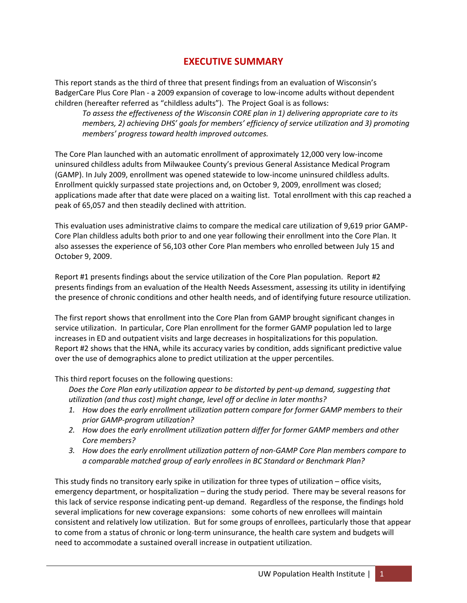#### **EXECUTIVE SUMMARY**

This report stands as the third of three that present findings from an evaluation of Wisconsin's BadgerCare Plus Core Plan - a 2009 expansion of coverage to low-income adults without dependent children (hereafter referred as "childless adults"). The Project Goal is as follows:

*To assess the effectiveness of the Wisconsin CORE plan in 1) delivering appropriate care to its members, 2) achieving DHS' goals for members' efficiency of service utilization and 3) promoting members' progress toward health improved outcomes.* 

The Core Plan launched with an automatic enrollment of approximately 12,000 very low-income uninsured childless adults from Milwaukee County's previous General Assistance Medical Program (GAMP). In July 2009, enrollment was opened statewide to low-income uninsured childless adults. Enrollment quickly surpassed state projections and, on October 9, 2009, enrollment was closed; applications made after that date were placed on a waiting list. Total enrollment with this cap reached a peak of 65,057 and then steadily declined with attrition.

This evaluation uses administrative claims to compare the medical care utilization of 9,619 prior GAMP-Core Plan childless adults both prior to and one year following their enrollment into the Core Plan. It also assesses the experience of 56,103 other Core Plan members who enrolled between July 15 and October 9, 2009.

Report #1 presents findings about the service utilization of the Core Plan population. Report #2 presents findings from an evaluation of the Health Needs Assessment, assessing its utility in identifying the presence of chronic conditions and other health needs, and of identifying future resource utilization.

The first report shows that enrollment into the Core Plan from GAMP brought significant changes in service utilization. In particular, Core Plan enrollment for the former GAMP population led to large increases in ED and outpatient visits and large decreases in hospitalizations for this population. Report #2 shows that the HNA, while its accuracy varies by condition, adds significant predictive value over the use of demographics alone to predict utilization at the upper percentiles.

This third report focuses on the following questions:

*Does the Core Plan early utilization appear to be distorted by pent-up demand, suggesting that utilization (and thus cost) might change, level off or decline in later months?*

- *1. How does the early enrollment utilization pattern compare for former GAMP members to their prior GAMP-program utilization?*
- *2. How does the early enrollment utilization pattern differ for former GAMP members and other Core members?*
- *3. How does the early enrollment utilization pattern of non-GAMP Core Plan members compare to a comparable matched group of early enrollees in BC Standard or Benchmark Plan?*

This study finds no transitory early spike in utilization for three types of utilization – office visits, emergency department, or hospitalization – during the study period. There may be several reasons for this lack of service response indicating pent-up demand. Regardless of the response, the findings hold several implications for new coverage expansions: some cohorts of new enrollees will maintain consistent and relatively low utilization. But for some groups of enrollees, particularly those that appear to come from a status of chronic or long-term uninsurance, the health care system and budgets will need to accommodate a sustained overall increase in outpatient utilization.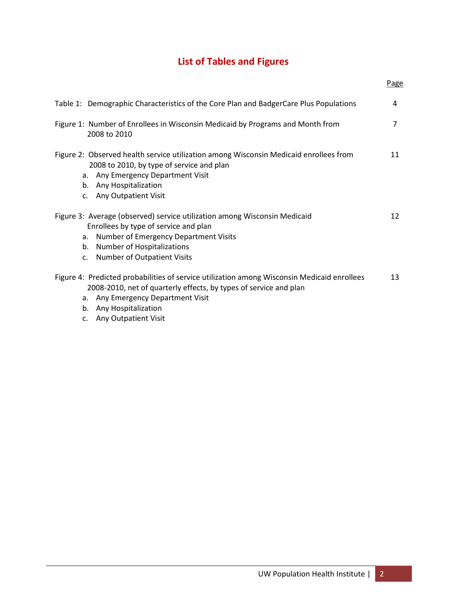# **List of Tables and Figures**

| Page |
|------|
| 4    |
| 7    |
| 11   |
| 12   |
| 13   |
|      |

c. Any Outpatient Visit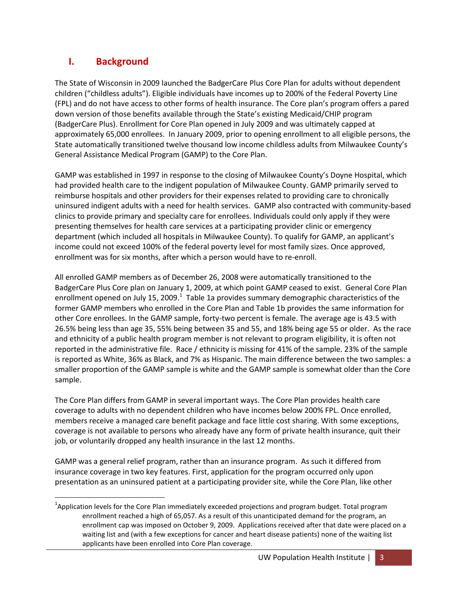#### **I. Background**

l

The State of Wisconsin in 2009 launched the BadgerCare Plus Core Plan for adults without dependent children ("childless adults"). Eligible individuals have incomes up to 200% of the Federal Poverty Line (FPL) and do not have access to other forms of health insurance. The Core plan's program offers a pared down version of those benefits available through the State's existing Medicaid/CHIP program (BadgerCare Plus). Enrollment for Core Plan opened in July 2009 and was ultimately capped at approximately 65,000 enrollees. In January 2009, prior to opening enrollment to all eligible persons, the State automatically transitioned twelve thousand low income childless adults from Milwaukee County's General Assistance Medical Program (GAMP) to the Core Plan.

GAMP was established in 1997 in response to the closing of Milwaukee County's Doyne Hospital, which had provided health care to the indigent population of Milwaukee County. GAMP primarily served to reimburse hospitals and other providers for their expenses related to providing care to chronically uninsured indigent adults with a need for health services. GAMP also contracted with community-based clinics to provide primary and specialty care for enrollees. Individuals could only apply if they were presenting themselves for health care services at a participating provider clinic or emergency department (which included all hospitals in Milwaukee County). To qualify for GAMP, an applicant's income could not exceed 100% of the federal poverty level for most family sizes. Once approved, enrollment was for six months, after which a person would have to re-enroll.

All enrolled GAMP members as of December 26, 2008 were automatically transitioned to the BadgerCare Plus Core plan on January 1, 2009, at which point GAMP ceased to exist. General Core Plan enrollment opened on July 15, 2009. $^1$  Table 1a provides summary demographic characteristics of the former GAMP members who enrolled in the Core Plan and Table 1b provides the same information for other Core enrollees. In the GAMP sample, forty-two percent is female. The average age is 43.5 with 26.5% being less than age 35, 55% being between 35 and 55, and 18% being age 55 or older. As the race and ethnicity of a public health program member is not relevant to program eligibility, it is often not reported in the administrative file. Race / ethnicity is missing for 41% of the sample. 23% of the sample is reported as White, 36% as Black, and 7% as Hispanic. The main difference between the two samples: a smaller proportion of the GAMP sample is white and the GAMP sample is somewhat older than the Core sample.

The Core Plan differs from GAMP in several important ways. The Core Plan provides health care coverage to adults with no dependent children who have incomes below 200% FPL. Once enrolled, members receive a managed care benefit package and face little cost sharing. With some exceptions, coverage is not available to persons who already have any form of private health insurance, quit their job, or voluntarily dropped any health insurance in the last 12 months.

GAMP was a general relief program, rather than an insurance program. As such it differed from insurance coverage in two key features. First, application for the program occurred only upon presentation as an uninsured patient at a participating provider site, while the Core Plan, like other

 $^{1}$ Application levels for the Core Plan immediately exceeded projections and program budget. Total program enrollment reached a high of 65,057. As a result of this unanticipated demand for the program, an enrollment cap was imposed on October 9, 2009. Applications received after that date were placed on a waiting list and (with a few exceptions for cancer and heart disease patients) none of the waiting list applicants have been enrolled into Core Plan coverage.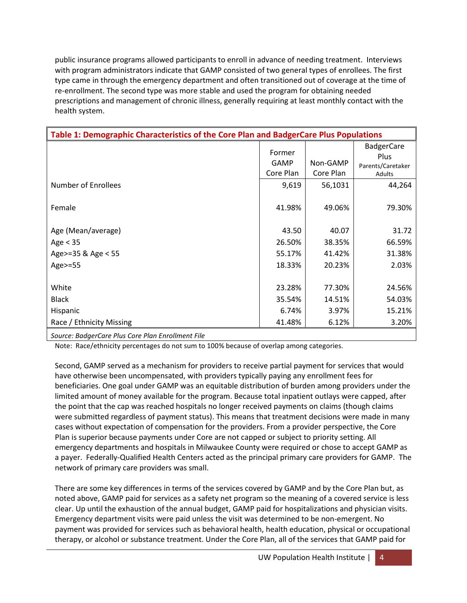public insurance programs allowed participants to enroll in advance of needing treatment. Interviews with program administrators indicate that GAMP consisted of two general types of enrollees. The first type came in through the emergency department and often transitioned out of coverage at the time of re-enrollment. The second type was more stable and used the program for obtaining needed prescriptions and management of chronic illness, generally requiring at least monthly contact with the health system.

| Table 1: Demographic Characteristics of the Core Plan and BadgerCare Plus Populations |                                    |                       |                                                          |
|---------------------------------------------------------------------------------------|------------------------------------|-----------------------|----------------------------------------------------------|
|                                                                                       | Former<br><b>GAMP</b><br>Core Plan | Non-GAMP<br>Core Plan | <b>BadgerCare</b><br>Plus<br>Parents/Caretaker<br>Adults |
| <b>Number of Enrollees</b>                                                            | 9,619                              | 56,1031               | 44,264                                                   |
| Female                                                                                | 41.98%                             | 49.06%                | 79.30%                                                   |
| Age (Mean/average)                                                                    | 43.50                              | 40.07                 | 31.72                                                    |
| Age $<$ 35                                                                            | 26.50%                             | 38.35%                | 66.59%                                                   |
| Age>=35 & Age < 55                                                                    | 55.17%                             | 41.42%                | 31.38%                                                   |
| Age>=55                                                                               | 18.33%                             | 20.23%                | 2.03%                                                    |
|                                                                                       |                                    |                       |                                                          |
| White                                                                                 | 23.28%                             | 77.30%                | 24.56%                                                   |
| <b>Black</b>                                                                          | 35.54%                             | 14.51%                | 54.03%                                                   |
| Hispanic                                                                              | 6.74%                              | 3.97%                 | 15.21%                                                   |
| Race / Ethnicity Missing                                                              | 41.48%                             | 6.12%                 | 3.20%                                                    |
|                                                                                       |                                    |                       |                                                          |

*Source: BadgerCare Plus Core Plan Enrollment File*

Note: Race/ethnicity percentages do not sum to 100% because of overlap among categories.

Second, GAMP served as a mechanism for providers to receive partial payment for services that would have otherwise been uncompensated, with providers typically paying any enrollment fees for beneficiaries. One goal under GAMP was an equitable distribution of burden among providers under the limited amount of money available for the program. Because total inpatient outlays were capped, after the point that the cap was reached hospitals no longer received payments on claims (though claims were submitted regardless of payment status). This means that treatment decisions were made in many cases without expectation of compensation for the providers. From a provider perspective, the Core Plan is superior because payments under Core are not capped or subject to priority setting. All emergency departments and hospitals in Milwaukee County were required or chose to accept GAMP as a payer. Federally-Qualified Health Centers acted as the principal primary care providers for GAMP. The network of primary care providers was small.

There are some key differences in terms of the services covered by GAMP and by the Core Plan but, as noted above, GAMP paid for services as a safety net program so the meaning of a covered service is less clear. Up until the exhaustion of the annual budget, GAMP paid for hospitalizations and physician visits. Emergency department visits were paid unless the visit was determined to be non-emergent. No payment was provided for services such as behavioral health, health education, physical or occupational therapy, or alcohol or substance treatment. Under the Core Plan, all of the services that GAMP paid for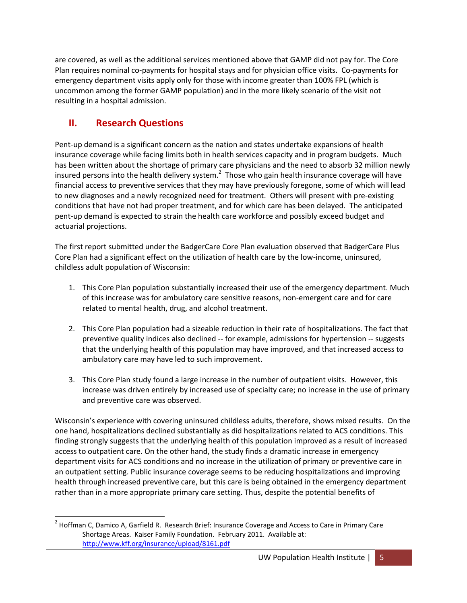are covered, as well as the additional services mentioned above that GAMP did not pay for. The Core Plan requires nominal co-payments for hospital stays and for physician office visits. Co-payments for emergency department visits apply only for those with income greater than 100% FPL (which is uncommon among the former GAMP population) and in the more likely scenario of the visit not resulting in a hospital admission.

### **II. Research Questions**

 $\overline{\phantom{a}}$ 

Pent-up demand is a significant concern as the nation and states undertake expansions of health insurance coverage while facing limits both in health services capacity and in program budgets. Much has been written about the shortage of primary care physicians and the need to absorb 32 million newly insured persons into the health delivery system.<sup>2</sup> Those who gain health insurance coverage will have financial access to preventive services that they may have previously foregone, some of which will lead to new diagnoses and a newly recognized need for treatment. Others will present with pre-existing conditions that have not had proper treatment, and for which care has been delayed. The anticipated pent-up demand is expected to strain the health care workforce and possibly exceed budget and actuarial projections.

The first report submitted under the BadgerCare Core Plan evaluation observed that BadgerCare Plus Core Plan had a significant effect on the utilization of health care by the low-income, uninsured, childless adult population of Wisconsin:

- 1. This Core Plan population substantially increased their use of the emergency department. Much of this increase was for ambulatory care sensitive reasons, non-emergent care and for care related to mental health, drug, and alcohol treatment.
- 2. This Core Plan population had a sizeable reduction in their rate of hospitalizations. The fact that preventive quality indices also declined -- for example, admissions for hypertension -- suggests that the underlying health of this population may have improved, and that increased access to ambulatory care may have led to such improvement.
- 3. This Core Plan study found a large increase in the number of outpatient visits. However, this increase was driven entirely by increased use of specialty care; no increase in the use of primary and preventive care was observed.

Wisconsin's experience with covering uninsured childless adults, therefore, shows mixed results. On the one hand, hospitalizations declined substantially as did hospitalizations related to ACS conditions. This finding strongly suggests that the underlying health of this population improved as a result of increased access to outpatient care. On the other hand, the study finds a dramatic increase in emergency department visits for ACS conditions and no increase in the utilization of primary or preventive care in an outpatient setting. Public insurance coverage seems to be reducing hospitalizations and improving health through increased preventive care, but this care is being obtained in the emergency department rather than in a more appropriate primary care setting. Thus, despite the potential benefits of

<sup>&</sup>lt;sup>2</sup> Hoffman C, Damico A, Garfield R. Research Brief: Insurance Coverage and Access to Care in Primary Care Shortage Areas. Kaiser Family Foundation. February 2011. Available at: <http://www.kff.org/insurance/upload/8161.pdf>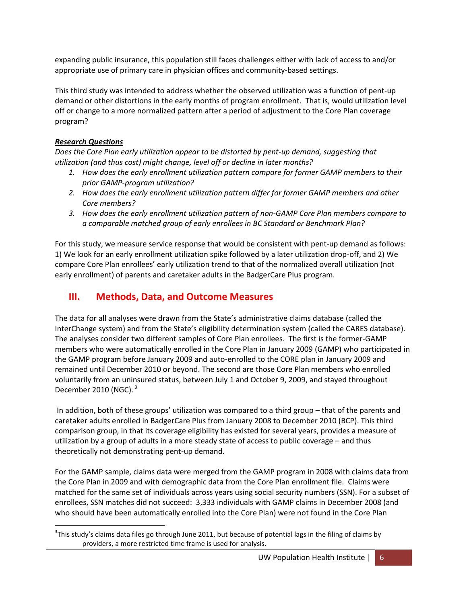expanding public insurance, this population still faces challenges either with lack of access to and/or appropriate use of primary care in physician offices and community-based settings.

This third study was intended to address whether the observed utilization was a function of pent-up demand or other distortions in the early months of program enrollment. That is, would utilization level off or change to a more normalized pattern after a period of adjustment to the Core Plan coverage program?

#### *Research Questions*

*Does the Core Plan early utilization appear to be distorted by pent-up demand, suggesting that utilization (and thus cost) might change, level off or decline in later months?*

- *1. How does the early enrollment utilization pattern compare for former GAMP members to their prior GAMP-program utilization?*
- *2. How does the early enrollment utilization pattern differ for former GAMP members and other Core members?*
- *3. How does the early enrollment utilization pattern of non-GAMP Core Plan members compare to a comparable matched group of early enrollees in BC Standard or Benchmark Plan?*

For this study, we measure service response that would be consistent with pent-up demand as follows: 1) We look for an early enrollment utilization spike followed by a later utilization drop-off, and 2) We compare Core Plan enrollees' early utilization trend to that of the normalized overall utilization (not early enrollment) of parents and caretaker adults in the BadgerCare Plus program.

#### **III. Methods, Data, and Outcome Measures**

The data for all analyses were drawn from the State's administrative claims database (called the InterChange system) and from the State's eligibility determination system (called the CARES database). The analyses consider two different samples of Core Plan enrollees. The first is the former-GAMP members who were automatically enrolled in the Core Plan in January 2009 (GAMP) who participated in the GAMP program before January 2009 and auto-enrolled to the CORE plan in January 2009 and remained until December 2010 or beyond. The second are those Core Plan members who enrolled voluntarily from an uninsured status, between July 1 and October 9, 2009, and stayed throughout December 2010 (NGC).<sup>3</sup>

In addition, both of these groups' utilization was compared to a third group – that of the parents and caretaker adults enrolled in BadgerCare Plus from January 2008 to December 2010 (BCP). This third comparison group, in that its coverage eligibility has existed for several years, provides a measure of utilization by a group of adults in a more steady state of access to public coverage – and thus theoretically not demonstrating pent-up demand.

For the GAMP sample, claims data were merged from the GAMP program in 2008 with claims data from the Core Plan in 2009 and with demographic data from the Core Plan enrollment file. Claims were matched for the same set of individuals across years using social security numbers (SSN). For a subset of enrollees, SSN matches did not succeed: 3,333 individuals with GAMP claims in December 2008 (and who should have been automatically enrolled into the Core Plan) were not found in the Core Plan

l  $3$ This study's claims data files go through June 2011, but because of potential lags in the filing of claims by providers, a more restricted time frame is used for analysis.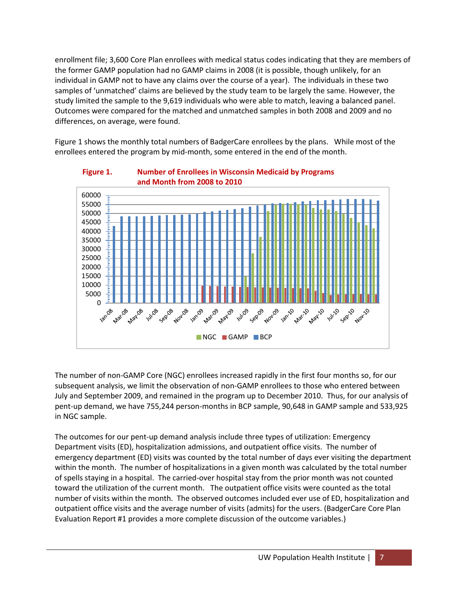enrollment file; 3,600 Core Plan enrollees with medical status codes indicating that they are members of the former GAMP population had no GAMP claims in 2008 (it is possible, though unlikely, for an individual in GAMP not to have any claims over the course of a year). The individuals in these two samples of 'unmatched' claims are believed by the study team to be largely the same. However, the study limited the sample to the 9,619 individuals who were able to match, leaving a balanced panel. Outcomes were compared for the matched and unmatched samples in both 2008 and 2009 and no differences, on average, were found.

Figure 1 shows the monthly total numbers of BadgerCare enrollees by the plans. While most of the enrollees entered the program by mid-month, some entered in the end of the month.



**Figure 1. Number of Enrollees in Wisconsin Medicaid by Programs** 

The number of non-GAMP Core (NGC) enrollees increased rapidly in the first four months so, for our subsequent analysis, we limit the observation of non-GAMP enrollees to those who entered between July and September 2009, and remained in the program up to December 2010. Thus, for our analysis of pent-up demand, we have 755,244 person-months in BCP sample, 90,648 in GAMP sample and 533,925 in NGC sample.

The outcomes for our pent-up demand analysis include three types of utilization: Emergency Department visits (ED), hospitalization admissions, and outpatient office visits. The number of emergency department (ED) visits was counted by the total number of days ever visiting the department within the month. The number of hospitalizations in a given month was calculated by the total number of spells staying in a hospital. The carried-over hospital stay from the prior month was not counted toward the utilization of the current month. The outpatient office visits were counted as the total number of visits within the month. The observed outcomes included ever use of ED, hospitalization and outpatient office visits and the average number of visits (admits) for the users. (BadgerCare Core Plan Evaluation Report #1 provides a more complete discussion of the outcome variables.)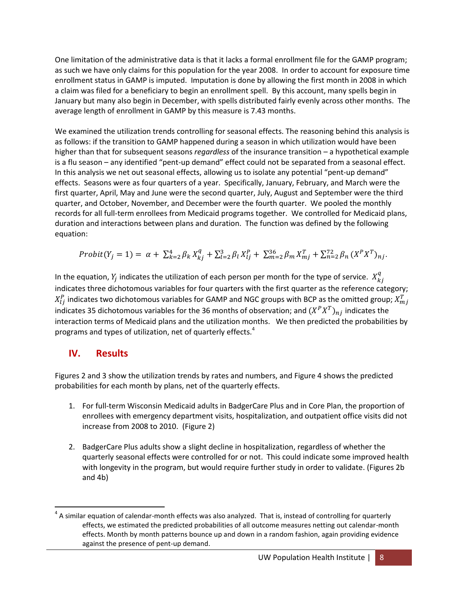One limitation of the administrative data is that it lacks a formal enrollment file for the GAMP program; as such we have only claims for this population for the year 2008. In order to account for exposure time enrollment status in GAMP is imputed. Imputation is done by allowing the first month in 2008 in which a claim was filed for a beneficiary to begin an enrollment spell. By this account, many spells begin in January but many also begin in December, with spells distributed fairly evenly across other months. The average length of enrollment in GAMP by this measure is 7.43 months.

We examined the utilization trends controlling for seasonal effects. The reasoning behind this analysis is as follows: if the transition to GAMP happened during a season in which utilization would have been higher than that for subsequent seasons *regardless* of the insurance transition – a hypothetical example is a flu season – any identified "pent-up demand" effect could not be separated from a seasonal effect. In this analysis we net out seasonal effects, allowing us to isolate any potential "pent-up demand" effects. Seasons were as four quarters of a year. Specifically, January, February, and March were the first quarter, April, May and June were the second quarter, July, August and September were the third quarter, and October, November, and December were the fourth quarter. We pooled the monthly records for all full-term enrollees from Medicaid programs together. We controlled for Medicaid plans, duration and interactions between plans and duration. The function was defined by the following equation:

$$
Probability(Y_j = 1) = \alpha + \sum_{k=2}^{4} \beta_k X_{kj}^q + \sum_{l=2}^{3} \beta_l X_{lj}^p + \sum_{m=2}^{36} \beta_m X_{mj}^T + \sum_{n=2}^{72} \beta_n (X^P X^T)_{nj}.
$$

In the equation,  $Y_j$  indicates the utilization of each person per month for the type of service.  $X_k^q$ indicates three dichotomous variables for four quarters with the first quarter as the reference category;  $X_{l i}^{P}$  indicates two dichotomous variables for GAMP and NGC groups with BCP as the omitted group;  $X_{m}^{T}$ indicates 35 dichotomous variables for the 36 months of observation; and  $(X^P X^T)_{ni}$  indicates the interaction terms of Medicaid plans and the utilization months. We then predicted the probabilities by programs and types of utilization, net of quarterly effects.<sup>4</sup>

#### **IV. Results**

 $\overline{a}$ 

Figures 2 and 3 show the utilization trends by rates and numbers, and Figure 4 shows the predicted probabilities for each month by plans, net of the quarterly effects.

- 1. For full-term Wisconsin Medicaid adults in BadgerCare Plus and in Core Plan, the proportion of enrollees with emergency department visits, hospitalization, and outpatient office visits did not increase from 2008 to 2010. (Figure 2)
- 2. BadgerCare Plus adults show a slight decline in hospitalization, regardless of whether the quarterly seasonal effects were controlled for or not. This could indicate some improved health with longevity in the program, but would require further study in order to validate. (Figures 2b and 4b)

 $^4$  A similar equation of calendar-month effects was also analyzed. That is, instead of controlling for quarterly effects, we estimated the predicted probabilities of all outcome measures netting out calendar-month effects. Month by month patterns bounce up and down in a random fashion, again providing evidence against the presence of pent-up demand.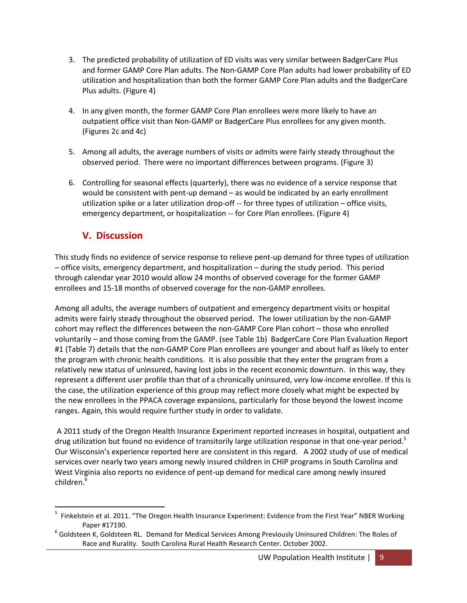- 3. The predicted probability of utilization of ED visits was very similar between BadgerCare Plus and former GAMP Core Plan adults. The Non-GAMP Core Plan adults had lower probability of ED utilization and hospitalization than both the former GAMP Core Plan adults and the BadgerCare Plus adults. (Figure 4)
- 4. In any given month, the former GAMP Core Plan enrollees were more likely to have an outpatient office visit than Non-GAMP or BadgerCare Plus enrollees for any given month. (Figures 2c and 4c)
- 5. Among all adults, the average numbers of visits or admits were fairly steady throughout the observed period. There were no important differences between programs. (Figure 3)
- 6. Controlling for seasonal effects (quarterly), there was no evidence of a service response that would be consistent with pent-up demand – as would be indicated by an early enrollment utilization spike or a later utilization drop-off -- for three types of utilization – office visits, emergency department, or hospitalization -- for Core Plan enrollees. (Figure 4)

#### **V. Discussion**

 $\overline{a}$ 

This study finds no evidence of service response to relieve pent-up demand for three types of utilization – office visits, emergency department, and hospitalization – during the study period. This period through calendar year 2010 would allow 24 months of observed coverage for the former GAMP enrollees and 15-18 months of observed coverage for the non-GAMP enrollees.

Among all adults, the average numbers of outpatient and emergency department visits or hospital admits were fairly steady throughout the observed period. The lower utilization by the non-GAMP cohort may reflect the differences between the non-GAMP Core Plan cohort – those who enrolled voluntarily – and those coming from the GAMP. (see Table 1b) BadgerCare Core Plan Evaluation Report #1 (Table 7) details that the non-GAMP Core Plan enrollees are younger and about half as likely to enter the program with chronic health conditions. It is also possible that they enter the program from a relatively new status of uninsured, having lost jobs in the recent economic downturn. In this way, they represent a different user profile than that of a chronically uninsured, very low-income enrollee. If this is the case, the utilization experience of this group may reflect more closely what might be expected by the new enrollees in the PPACA coverage expansions, particularly for those beyond the lowest income ranges. Again, this would require further study in order to validate.

A 2011 study of the Oregon Health Insurance Experiment reported increases in hospital, outpatient and drug utilization but found no evidence of transitorily large utilization response in that one-year period.<sup>5</sup> Our Wisconsin's experience reported here are consistent in this regard. A 2002 study of use of medical services over nearly two years among newly insured children in CHIP programs in South Carolina and West Virginia also reports no evidence of pent-up demand for medical care among newly insured children.<sup>6</sup>

<sup>&</sup>lt;sup>5</sup> Finkelstein et al. 2011. "The Oregon Health Insurance Experiment: Evidence from the First Year" NBER Working Paper #17190.

<sup>&</sup>lt;sup>6</sup> Goldsteen K, Goldsteen RL. Demand for Medical Services Among Previously Uninsured Children: The Roles of Race and Rurality. South Carolina Rural Health Research Center. October 2002.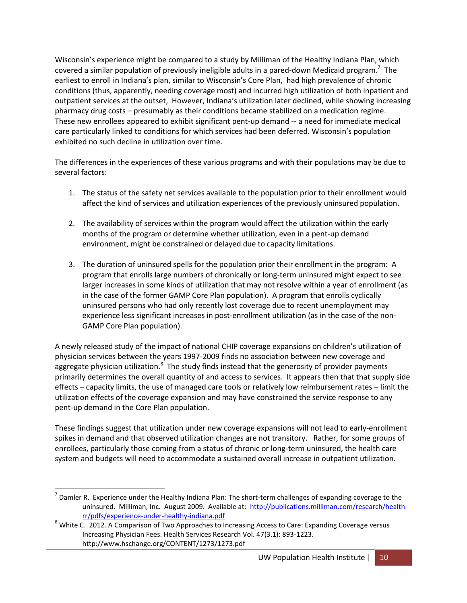Wisconsin's experience might be compared to a study by Milliman of the Healthy Indiana Plan, which covered a similar population of previously ineligible adults in a pared-down Medicaid program.<sup>7</sup> The earliest to enroll in Indiana's plan, similar to Wisconsin's Core Plan, had high prevalence of chronic conditions (thus, apparently, needing coverage most) and incurred high utilization of both inpatient and outpatient services at the outset, However, Indiana's utilization later declined, while showing increasing pharmacy drug costs – presumably as their conditions became stabilized on a medication regime. These new enrollees appeared to exhibit significant pent-up demand -- a need for immediate medical care particularly linked to conditions for which services had been deferred. Wisconsin's population exhibited no such decline in utilization over time.

The differences in the experiences of these various programs and with their populations may be due to several factors:

- 1. The status of the safety net services available to the population prior to their enrollment would affect the kind of services and utilization experiences of the previously uninsured population.
- 2. The availability of services within the program would affect the utilization within the early months of the program or determine whether utilization, even in a pent-up demand environment, might be constrained or delayed due to capacity limitations.
- 3. The duration of uninsured spells for the population prior their enrollment in the program: A program that enrolls large numbers of chronically or long-term uninsured might expect to see larger increases in some kinds of utilization that may not resolve within a year of enrollment (as in the case of the former GAMP Core Plan population). A program that enrolls cyclically uninsured persons who had only recently lost coverage due to recent unemployment may experience less significant increases in post-enrollment utilization (as in the case of the non-GAMP Core Plan population).

A newly released study of the impact of national CHIP coverage expansions on children's utilization of physician services between the years 1997-2009 finds no association between new coverage and aggregate physician utilization.<sup>8</sup> The study finds instead that the generosity of provider payments primarily determines the overall quantity of and access to services. It appears then that that supply side effects – capacity limits, the use of managed care tools or relatively low reimbursement rates – limit the utilization effects of the coverage expansion and may have constrained the service response to any pent-up demand in the Core Plan population.

These findings suggest that utilization under new coverage expansions will not lead to early-enrollment spikes in demand and that observed utilization changes are not transitory. Rather, for some groups of enrollees, particularly those coming from a status of chronic or long-term uninsured, the health care system and budgets will need to accommodate a sustained overall increase in outpatient utilization.

 $\overline{a}$ 

 $^7$  Damler R. Experience under the Healthy Indiana Plan: The short-term challenges of expanding coverage to the uninsured. Milliman, Inc. August 2009. Available at: [http://publications.milliman.com/research/health](http://publications.milliman.com/research/health-rr/pdfs/experience-under-healthy-indiana.pdf)[rr/pdfs/experience-under-healthy-indiana.pdf](http://publications.milliman.com/research/health-rr/pdfs/experience-under-healthy-indiana.pdf)

<sup>&</sup>lt;sup>8</sup> White C. 2012. A Comparison of Two Approaches to Increasing Access to Care: Expanding Coverage versus Increasing Physician Fees. Health Services Research Vol. 47(3.1): 893-1223. http://www.hschange.org/CONTENT/1273/1273.pdf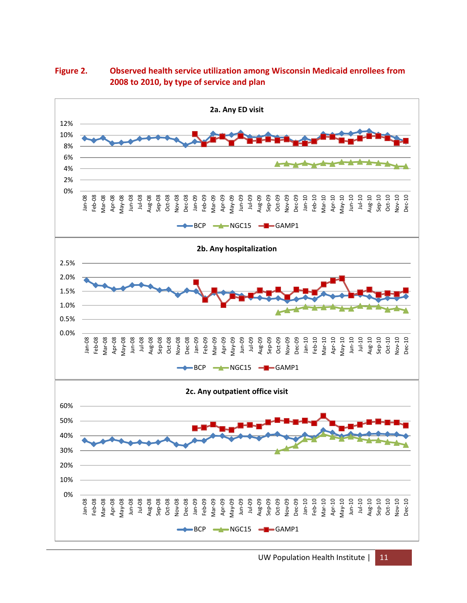

**Figure 2. Observed health service utilization among Wisconsin Medicaid enrollees from 2008 to 2010, by type of service and plan**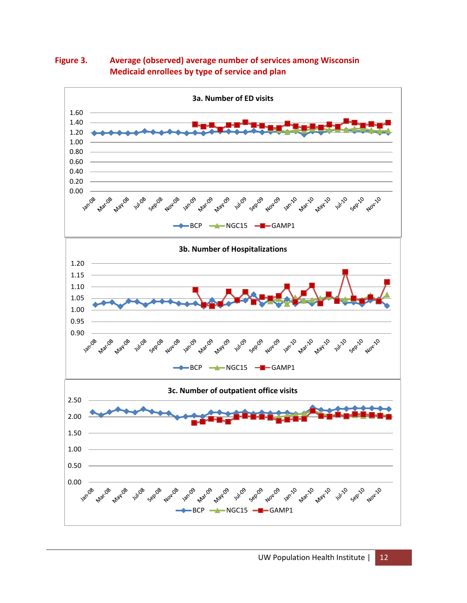

**Figure 3. Average (observed) average number of services among Wisconsin Medicaid enrollees by type of service and plan**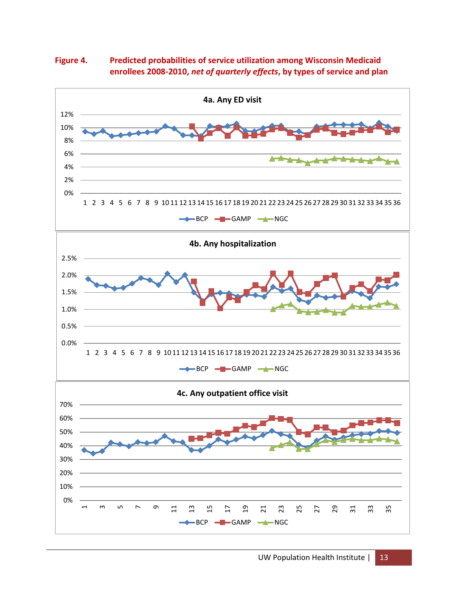**Figure 4. Predicted probabilities of service utilization among Wisconsin Medicaid enrollees 2008-2010,** *net of quarterly effects***, by types of service and plan**